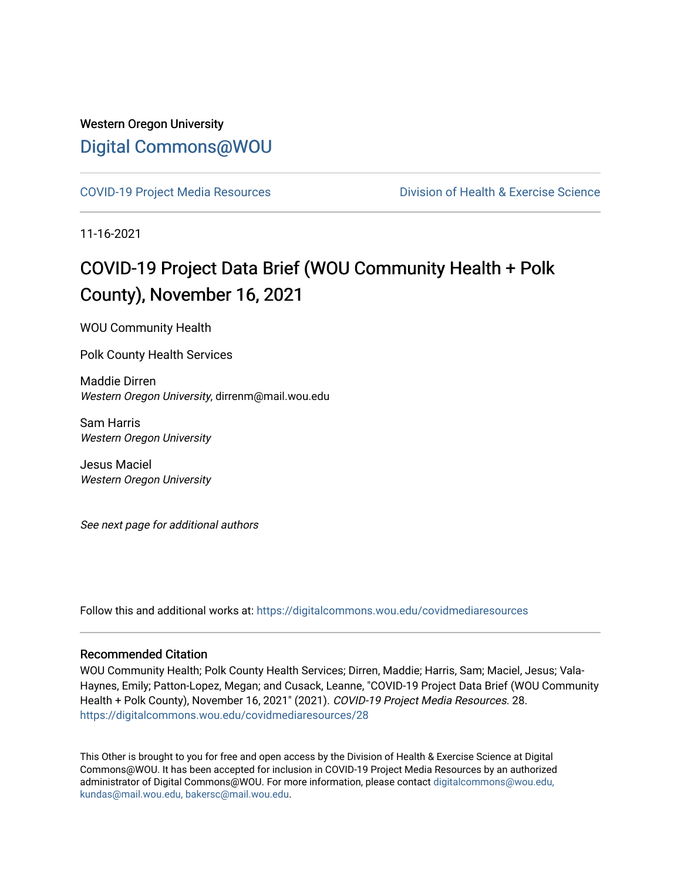### Western Oregon University [Digital Commons@WOU](https://digitalcommons.wou.edu/)

[COVID-19 Project Media Resources](https://digitalcommons.wou.edu/covidmediaresources) [Division of Health & Exercise Science](https://digitalcommons.wou.edu/healthexercise) 

11-16-2021

## COVID-19 Project Data Brief (WOU Community Health + Polk County), November 16, 2021

WOU Community Health

Polk County Health Services

Maddie Dirren Western Oregon University, dirrenm@mail.wou.edu

Sam Harris Western Oregon University

Jesus Maciel Western Oregon University

See next page for additional authors

Follow this and additional works at: [https://digitalcommons.wou.edu/covidmediaresources](https://digitalcommons.wou.edu/covidmediaresources?utm_source=digitalcommons.wou.edu%2Fcovidmediaresources%2F28&utm_medium=PDF&utm_campaign=PDFCoverPages)

#### Recommended Citation

WOU Community Health; Polk County Health Services; Dirren, Maddie; Harris, Sam; Maciel, Jesus; Vala-Haynes, Emily; Patton-Lopez, Megan; and Cusack, Leanne, "COVID-19 Project Data Brief (WOU Community Health + Polk County), November 16, 2021" (2021). COVID-19 Project Media Resources. 28. [https://digitalcommons.wou.edu/covidmediaresources/28](https://digitalcommons.wou.edu/covidmediaresources/28?utm_source=digitalcommons.wou.edu%2Fcovidmediaresources%2F28&utm_medium=PDF&utm_campaign=PDFCoverPages) 

This Other is brought to you for free and open access by the Division of Health & Exercise Science at Digital Commons@WOU. It has been accepted for inclusion in COVID-19 Project Media Resources by an authorized administrator of Digital Commons@WOU. For more information, please contact [digitalcommons@wou.edu,](mailto:digitalcommons@wou.edu,%20kundas@mail.wou.edu,%20bakersc@mail.wou.edu)  [kundas@mail.wou.edu, bakersc@mail.wou.edu.](mailto:digitalcommons@wou.edu,%20kundas@mail.wou.edu,%20bakersc@mail.wou.edu)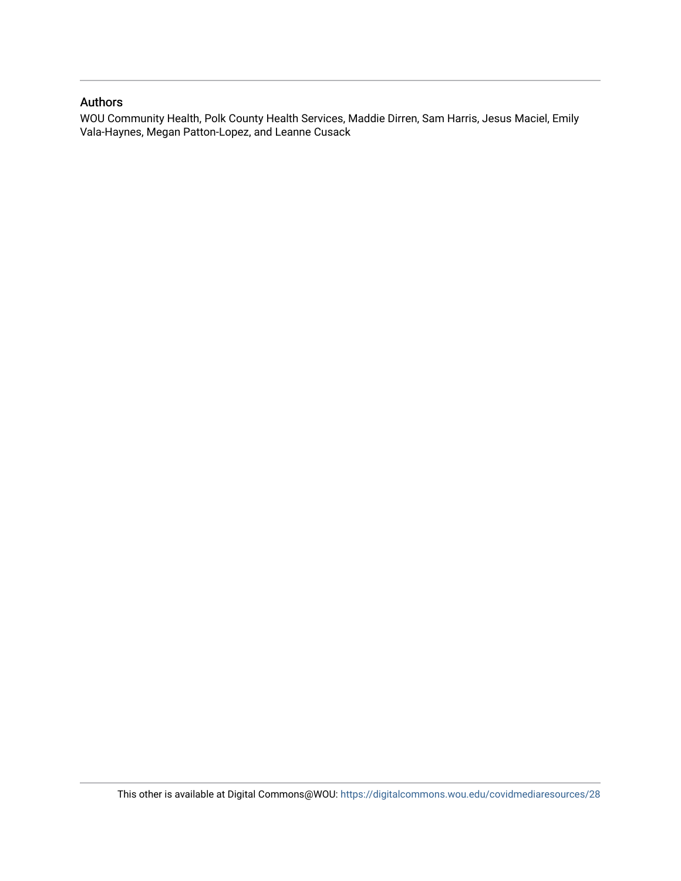#### Authors

WOU Community Health, Polk County Health Services, Maddie Dirren, Sam Harris, Jesus Maciel, Emily Vala-Haynes, Megan Patton-Lopez, and Leanne Cusack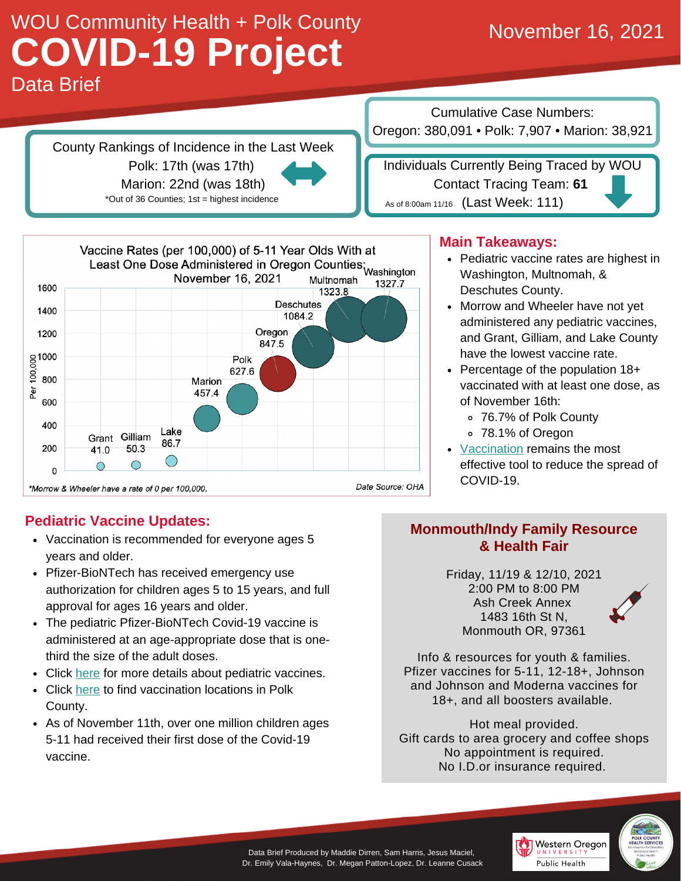## Data Brief WOU Community Health + Polk County **COVID-19 Project** November 16, 2021

County Rankings of Incidence in the Last Week Polk: 17th (was 17th) Marion: 22nd (was 18th) \*Out of 36 Counties; 1st = highest incidence

Cumulative Case Numbers: Oregon: 380,091 • Polk: 7,907 • Marion: 38,921

Individuals Currently Being Traced by WOU Contact Tracing Team: **61** As of 8:00am 11/16  $($  Last Week: 111)



### **Main Takeaways:**

- Pediatric vaccine rates are highest in Washington, Multnomah, & Deschutes County.
- Morrow and Wheeler have not yet administered any pediatric vaccines, and Grant, Gilliam, and Lake County have the lowest vaccine rate.
- Percentage of the population  $18+$ vaccinated with at least one dose, as of November 16th:
	- 76.7% of Polk County
	- 78.1% of Oregon
- [Vaccination](https://getvaccinated.oregon.gov/#/) remains the most effective tool to reduce the spread of COVID-19.

### **Pediatric Vaccine Updates:**

- Vaccination is recommended for everyone ages 5 years and older.
- Pfizer-BioNTech has received emergency use authorization for children ages 5 to 15 years, and full approval for ages 16 years and older.
- The pediatric Pfizer-BioNTech Covid-19 vaccine is administered at an age-appropriate dose that is onethird the size of the adult doses.
- Click [here](https://www.cdc.gov/coronavirus/2019-ncov/vaccines/keythingstoknow.html?s_cid=10493:covid%2019%20vaccine:sem.ga:p:RG:GM:gen:PTN:FY21) for more details about pediatric vaccines.
- Click [here](https://www.co.polk.or.us/ph/covid-19-vaccine) to find vaccination locations in Polk County.
- As of November 11th, over one million children ages 5-11 had received their first dose of the Covid-19 vaccine.

### **Monmouth/Indy Family Resource & Health Fair**

Friday, 11/19 & 12/10, 2021 2:00 PM to 8:00 PM Ash Creek Annex 1483 16th St N, Monmouth OR, 97361



Info & resources for youth & families. Pfizer vaccines for 5-11, 12-18+, Johnson and Johnson and Moderna vaccines for 18+, and all boosters available.

Hot meal provided. Gift cards to area grocery and coffee shops No appointment is required. No I.D.or insurance required.



Data Brief Produced by Maddie Dirren, Sam Harris, Jesus Maciel, Dr. Emily Vala-Haynes, Dr. Megan Patton-Lopez, Dr. Leanne Cusack